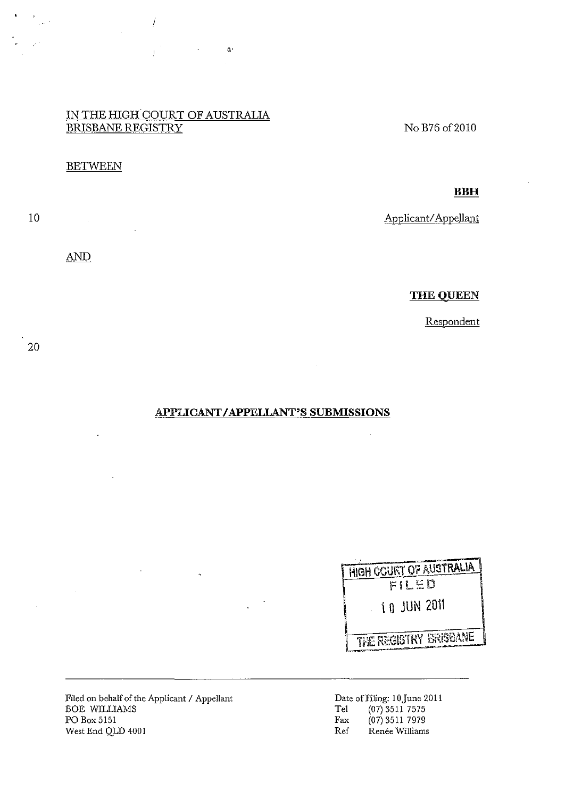### IN THE HIGH COURT OF AUSTRALIA BRISBANE REGISTRY

 $\pmb{\alpha}$ 

į

 $\frac{1}{2}$ 

#### **BETWEEN**

10

 $\frac{1}{\sqrt{2}}$ 

**AND** 

 $\mathcal{L}_{\mathrm{c}}$ 

 $\overline{1}$ 

No B76 of2010

**THE QUEEN** 

Applicant/Appellant

**BBH** 

Respondent

20

#### APPLICANT I APPELLANT'S **SUBMISSIONS**

| HIGH COURT OF AUSTRALIA |
|-------------------------|
| FILED                   |
| 1 A JUN 2011            |
| THE REGISTRY BRISBANE   |

Filed on behalf of the Applicant / Appellant BOE WILLIAMS PO Box 5151 West End QLD 4001

Date of Filing: 10June 2011 Te1 (07) 3511 7575 Fax (07) 3511 7979 Ref Renée Williams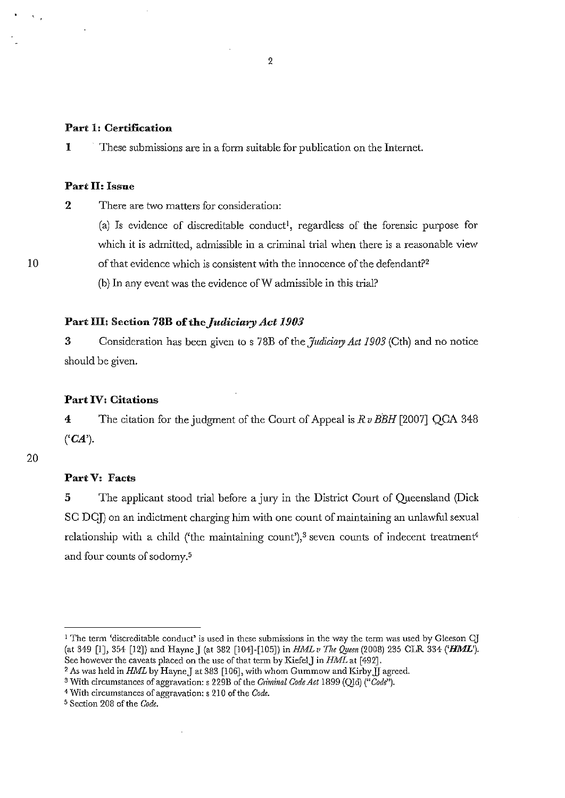#### Part 1: Certification

1 These submissions are in a form suitable for publication on the Internet.

### Part H: Issue

2 There are two matters for consideration:

(a) Is evidence of discreditable conduct<sup>1</sup>, regardless of the forensic purpose for which it is admitted, admissible in a criminal trial when there is a reasonable view of that evidence which is consistent with the innocence of the defendant?2

(b) In any event was the evidence of W admissible in this trial?

#### Part III: Section 78B of the *Judiciary Act 1903*

3 Consideration has been given to s 78B of the *Judiciary Act 1903* (Cth) and no notice should be given.

#### Part IV: Citations

4 The citation for the judgment of the Court of Appeal is *Rv BBH* [2007] QCA 348  $(CA')$ .

#### 20

10

 $\mathbf{v}_{\mathrm{eff}}$ 

### PartY: Facts

5 The applicant stood trial before a jury in the District Court of Queensland (Dick SC DC]) on an indictment charging him with one count of maintaining an unlawful sexual relationship with a child ('the maintaining count'),<sup>3</sup> seven counts of indecent treatment<sup>4</sup> and four counts of sodomy.<sup>5</sup>

<sup>1</sup> The term (discreditable conduct' is used in these submissions in the way the term was used by Gleeson *Cl*  (at 349 [IJ, 354 [12]) and Hayne J (at 382 [104]-[105]) in *HML v The Qjleen* (2008) 235 eLR 334 *('HML').*  See however the caveats placed on the use of that term by KiefeIJ in *HML* at [492J.

<sup>&</sup>lt;sup>2</sup> As was held in *HML* by Hayne J at 383 [106], with whom Gummow and Kirby  $\tilde{J}$  agreed.

<sup>&</sup>lt;sup>3</sup> With circumstances of aggravation: s 229B of the *Criminal Code Act* 1899 (QId) ("Code").

<sup>4</sup> With circumstances of aggravation: s 210 of the *Code.* 

s Section 208 of the *Code.*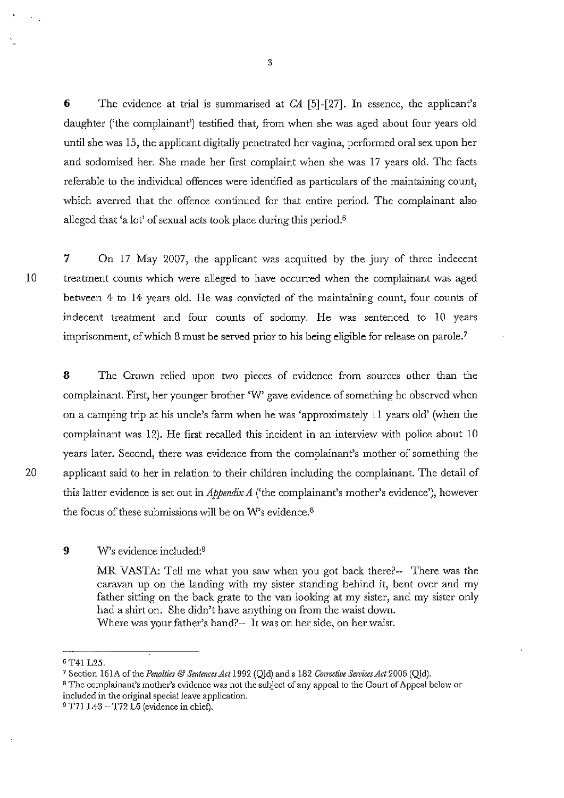6 The evidence at trial is summarised at CA [5]-[27]. In essence, the applicant's daughter ('the complainant') testified that, from when she was aged about four years old until she was 15, the applicant digitally penetrated her vagina, performed oral sex upon her and sodomised her. She made her first complaint when she was 17 years old. The facts referable to the individual offences were identified as particulars of the maintaining count, which averred that the offence continued for that entire period. The complainant also alleged that 'a lot' of sexual acts took place during this period.6

7 On 17 May 2007, the applicant was acquitted by the jury of three indecent 10 treatment counts which *were* alleged to have occurred when the complainant was aged between 4 to 14 years old. He was convicted of the maintaining count, four counts of indecent treatment and four counts of sodomy. He was sentenced to 10 years imprisonment, of which 8 must be served prior to his being eligible for release on parole.?

8 The Crown relied upon two pieces of evidence from sources other than the complainant. First, her younger brother 'W' gave evidence of something he observed when on a camping trip at his uncle's farm when he was 'approximately II years old' (when the complainant was 12). He first recalled this incident in an interview with police about 10 years later. Second, there was evidence from the complainant's mother of something the 20 applicant said to her in relation to their children including the complainant. The detail of this latter evidence is set out in *Appendix A* ('the complainant's mother's evidence'), however the focus of these submissions will be on W's evidence. <sup>8</sup>

#### 9 W's evidence included:9

MR VASTA: Tell me what you saw when you got back there?-- There was the caravan up on the landing with my sister standing behind it, bent over and my father sitting on the back grate to the van looking at my sister, and my sister only had a shirt on. She didn't have anything on from the waist down. Where was your father's hand?-- It was on her side, on her waist.

9 T71 L43 - T72 L6 (evidence in chief).

<sup>6</sup> T41 L25.

<sup>7</sup> Section 161A of the *Penalties* & *Sentences Act* 1992 (Qld) and s 182 *Con-ective Sewic,s Act* 2006 (Qld).

<sup>8</sup> **The complainant's mother's evidence was not the subject of any appeal to the Court of Appeal below or included in the original** special leave **application.**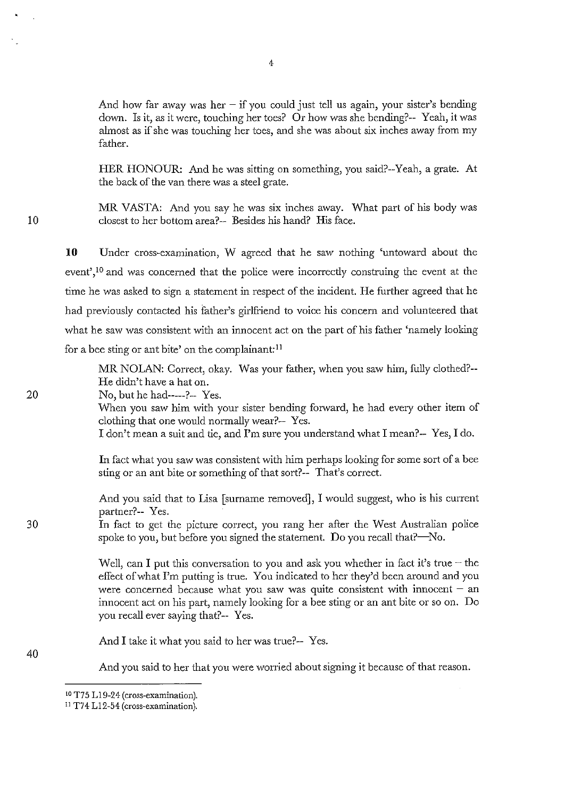And how far away was her  $-$  if you could just tell us again, your sister's bending down. Is it, as it were, touching her toes? Or how was she bending?-- Yeah, it was almost as if she was touching her toes, and she was about six inches away from my father.

HER HONOUR: And he was sitting on something, you said?--Yeah, a grate. At the back of the van there was a steel grate.

MR VASTA: And you say he was six inches away. What part of his body was closest to her bottom area?-- Besides his hand? His face.

**10**  Under cross-examination, W agreed that he saw nothing 'untoward about the event',<sup>10</sup> and was concerned that the police were incorrectly construing the event at the time he was asked to sign a statement in respect of the incident. He further agreed that he had previously contacted his father's girlfriend to voice his concern and volunteered that what he saw was consistent with an innocent act on the part of his father 'namely looking for a bee sting or ant bite' on the complainant:<sup>11</sup>

MR NOLAN: Correct, okay. Was your father, when you saw him, fully clothed?-- He didn't have a hat on.

No, but he had-----?-- Yes.

When you saw him with your sister bending forward, he had every other item of clothing that one would normally wear?-- Yes.

I don't mean a suit and tie, and I'm sure you understand what I mean?-- Yes, I do.

In fact what you saw was consistent with him perhaps looking for some sort of a bee sting or an ant bite or something of that sort?-- That's correct.

And you said that to Lisa [surname removed], I would suggest, who is his current partner?-- Yes.

In fact to get the picture correct, you rang her after the West Australian police spoke to you, but before you signed the statement. Do you recall that?—No.

Well, can I put this conversation to you and ask you whether in fact it's true  $-$  the effect of what I'm putting is true. You indicated to her they'd been around and you were concerned because what you saw was quite consistent with innocent  $-$  an innocent act on his part, namely looking for a bee sting or an ant bite or so on. Do you recall ever saying that?-- Yes.

And I take it what you said to her was true?-- Yes.

And you said to her that you were worried about signing it because of that reason.

30

40

10

ID T75 L19-24 (cross-examination).

II T74 L12-54 (cross-examination).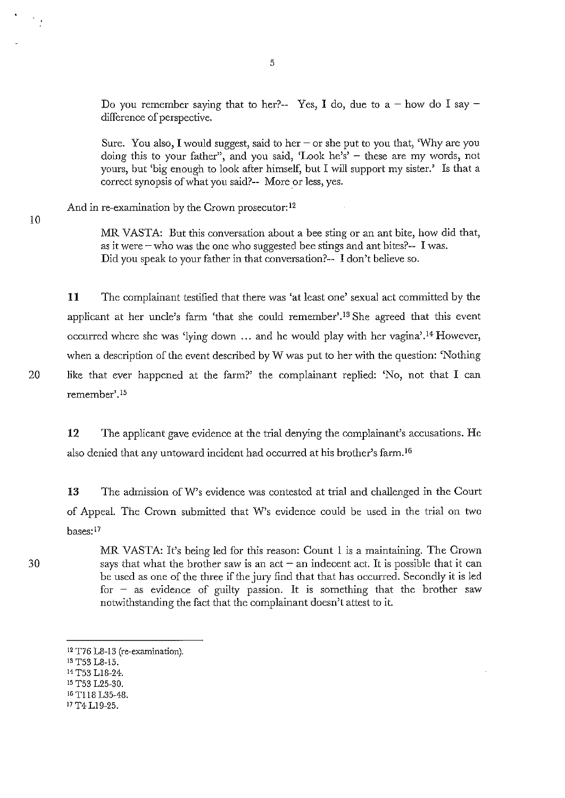Do you remember saying that to her?-- Yes, I do, due to a - how do I say difference of perspective.

Sure. You also, I would suggest, said to her  $-\text{ or she}$  put to you that, Why are you doing this to your father", and you said, 'Look he's' - these are my words, not yours, but 'big enough to look after himself, but I will support my sister.' Is that a correct synopsis of what you said?-- More or less, yes.

And in re-examination by the Crown prosecutor:<sup>12</sup>

10

MR VASTA: But this conversation about a bee sting or an ant bite, how did that, as it were  $-\text{ who was the one who suggested bee strings and ant bites?-- I was.}$ Did you speak to your father in that conversation?-- I don't believe so.

11 The complainant testified that there was 'at least one' sexual act committed by the applicant at her uncle's farm 'that she could remember'.<sup>13</sup> She agreed that this event occurred where she was 'lying down  $\ldots$  and he would play with her vagina'.<sup>14</sup> However, when a description of the event described by W was put to her with the question: 'Nothing 20 like that ever happened at the farm?' the complainant replied: 'No, not that I can remember'.<sup>15</sup>

**12** The applicant gave evidence at the trial denying the complainant's accusations. He also denied that any untoward incident had occurred at his brother's farm. <sup>16</sup>

**13** The admission ofW's evidence was contested at trial and challenged in the Court of Appeal. The Crown submitted that W's evidence could be used in the trial on two bases: <sup>17</sup>

MR VASTA: It's being led for this reason: Count I is a maintaining. The Crown says that what the brother saw is an  $act - an$  indecent act. It is possible that it can be used as one of the three if the jury find that that has occurred. Secondly it is led for  $-$  as evidence of guilty passion. It is something that the brother saw notwithstanding the fact that the complainant doesn't attest to it.

- 13 T53 L8-15.
- 14 T53 LI8-24.
- 15 T53 L25-30.
- 16 TIl8 L35-48.
- 17 T4 LI9-25.

<sup>12</sup> T76 L8-13 (re-examination).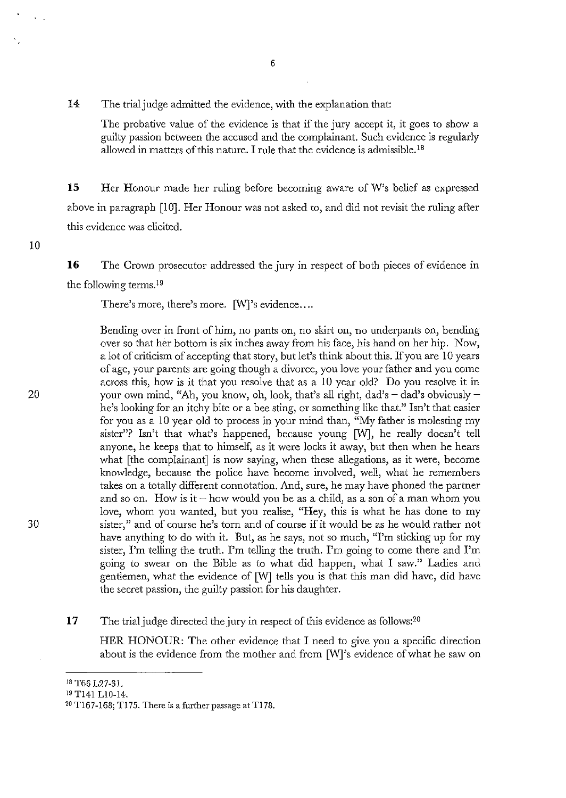14 The trial judge admitted the evidence, with the explanation that:

The probative value of the evidence is that if the jury accept it, it goes to show a guilty passion between the accused and the complainant. Such evidence is regularly allowed in matters of this nature. I rule that the evidence is admissible.<sup>18</sup>

**15** Her Honour made her ruling before becoming aware of W's belief as expressed above in paragraph [10]. Her Honour was not asked to, and did not revisit the ruling after this evidence was elicited.

**16** The Crown prosecutor addressed the jury in respect of both pieces of evidence in the following terms. 19

There's more, there's more. [W]'s evidence....

Bending over in front of him, no pants on, no skirt on, no underpants on, bending over so that her bottom is six inches away from his face, his hand on her hip. Now, a lot of criticism of accepting that story, but let's think about this. If you are 10 years of age, your parents are going though a divorce, you love your father and you come across this, how is it that you resolve that as a 10 year old? Do you resolve it in your own mind, "Ah, you know, oh, look, that's all right, dad's  $-$  dad's obviously  $$ he's looking for an itchy bite or a bee sting, or something like that." Isn't that easier for you as a 10 year old to process in your mind than, "My father is molesting my sister"? Isn't that what's happened, because young [W], he really doesn't tell anyone, he keeps that to himself, as it were locks it away, but then when he hears what [the complainant] is now saying, when these allegations, as it were, become knowledge, because the police have become involved, well, what he remembers takes on a totally different connotation. And, sure, he may have phoned the partner and so on. How is it  $-$  how would you be as a child, as a son of a man whom you love, whom you wanted, but you realise, "Hey, this is what he has done to my sister," and of course he's torn and of course if it would be as he would rather not have anything to do with it. But, as he says, not so much, "I'm sticking up for my sister, I'm telling the truth. I'm telling the truth. I'm going to come there and I'm going to swear on the Bible as to what did happen, what I saw." Ladies and gentlemen, what the evidence of [W] tells you is that this man did have, did have the secret passion, the guilty passion for his daughter.

#### 17 The trial judge directed the jury in respect of this evidence as follows:<sup>20</sup>

HER HONOUR: The other evidence that I need to give you a specific direction about is the evidence from the mother and from [W]'s evidence of what he saw on

30

10

<sup>18</sup> T66 L27-31.

<sup>19</sup> Tl41 LID-l4.

<sup>20</sup> TI67-168; T175. There is a further passage at T178.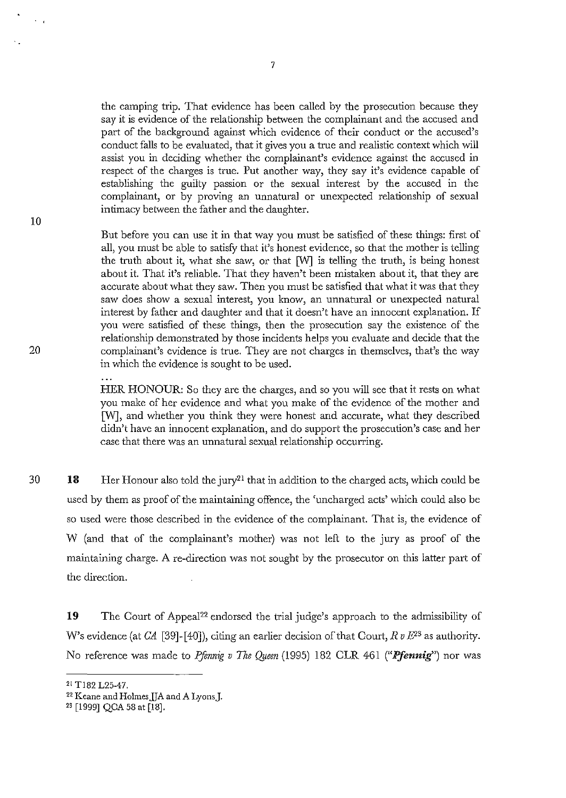the camping trip. That evidence has been called by the prosecution because they say it is evidence of the relationship between the complainant and the accused and part of the background against which evidence of their conduct or the accused's conduct falls to be evaluated, that it gives you a true and realistic context which will assist you in deciding whether the complainant's evidence against the accused in respect of the charges is true. Put another way, they say it's evidence capable of establishing the guilty passion or the sexual interest by the accused in the complainant, or by proving an unnatural or unexpected relationship of sexual intimacy between the father and the daughter.

10

 $\sim$   $\sim$ 

20

But before you can use it in that way you must be satisfied of these things: first of all, you must be able to satisfy that it's honest evidence, so that the mother is telling the truth about it, what she saw, or that [W] is telling the truth, is being honest about it. That it's reliable. That they haven't been mistaken about it, that they are accurate about what they saw. Then you must be satisfied that what it was that they saw does show a sexual interest, you know, an unnatural or unexpected natural interest by father and daughter and that it doesn't have an innocent explanation. If you were satisfied of these things, then the prosecution say the existence of the relationship demonstrated by those incidents helps you evaluate and decide that the complainant's evidence is true. They are not charges in themselves, that's the way in which the evidence is sought to be used.

HER HONOUR: So they are the charges, and so you will see that it rests on what you make of her evidence and what you make of the evidence of the mother and [W], and whether you think they were honest and accurate, what they described didn't have an innocent explanation, and do support the prosecution's case and her case that there was an unnatural sexual relationship occurring.

30 **18**  Her Honour also told the jury<sup>21</sup> that in addition to the charged acts, which could be used by them as proof of the maintaining offence, the 'uncharged acts' which could also be so used were those described in the evidence of the complainant. That is, the evidence of W (and that of the complainant's mother) was not left to the jury as proof of the maintaining charge. A re-direction was not sought by the prosecutor on this latter part of the direction.

19 The Court of Appeal<sup>22</sup> endorsed the trial judge's approach to the admissibility of W's evidence (at  $CA$  [39]-[40]), citing an earlier decision of that Court,  $R \nu E^{23}$  as authority. No reference was made to *Pfennig v The Queen* (1995) 182 CLR 461 ("Pfennig") nor was

<sup>2!</sup> TI82 L25-47.

<sup>&</sup>lt;sup>22</sup> Keane and Holmes JJA and A Lyons J.

<sup>23 [1999]</sup> QCA 58 at [18].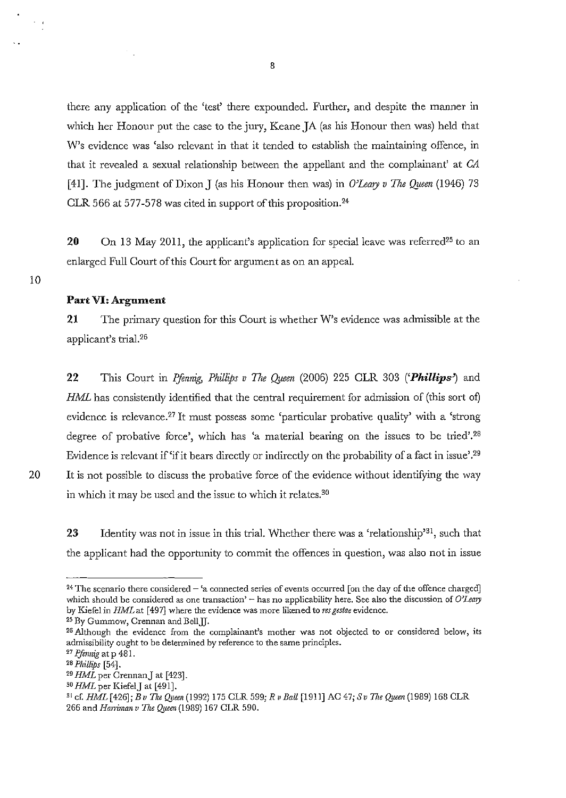there any application of the 'test' there expounded. Further, and despite the manner in which her Honour put the case to the jury, Keane JA (as his Honour then was) held that W's evidence was 'also relevant in that it tended to establish the maintaining offence, in that it revealed a sexual relationship between the appellant and the complainant' at *CA*  [41]. The judgment of Dixon J (as his Honour then was) in *O'Leary v The Queen* (1946) 73 CLR 566 at 577-578 was cited in support of this proposition.24

20 On 13 May 2011, the applicant's application for special leave was referred<sup>25</sup> to an enlarged Full Court of this Court for argument as on an appeal.

#### Part VI: Argument

**21** The primary question for this Court is whether W's evidence was admissible at the applicant's trial. 26

**22** This Court in *Pfennig, Phillips v The Queen* (2006) 225 CLR 303 ('*Phillips*') and HML has consistently identified that the central requirement for admission of (this sort of) evidence is relevance.27 It must possess some 'particular probative quality' with a 'strong degree of probative force', which has 'a material bearing on the issues to be tried'.28 Evidence is relevant if 'if it bears directly or indirectly on the probability of a fact in issue'.29 20 It is not possible to discuss the probative force of the evidence without identifying the way in which it may be used and the issue to which it relates.<sup>30</sup>

23 Identity was not in issue in this trial. Whether there was a 'relationship'<sup>31</sup>, such that the applicant had the opportunity to commit the offences in question, was also not in issue

**<sup>24</sup> The scenario there considered - 'a connected series of events occurred [on the day of the offence charged]**  which should be considered as one transaction' - has no applicability here. See also the discussion of *O'Leary* **by Kiefel in** *HMLat* **[497] where the evidence was more likened to** *res gestae* **evidence.** 

<sup>&</sup>lt;sup>25</sup> By Gummow, Crennan and Bell.<sup>[[]</sup>.

**<sup>26</sup> Although the evidence from the complainant's mother was not objected to or considered below, its admissibility ought to be determined by reference to the same principles.** 

<sup>27</sup>*Pfmnig* at p 481.

<sup>28</sup> *Plzillips [54].* 

*<sup>&</sup>quot;HML* per CrennanJ at [423].

*<sup>30</sup> HML* per KiefelJ at [491].

<sup>&</sup>lt;sup>31</sup> cf. *HML* [426]; *B v The Queen* (1992) 175 CLR 599; *R v Ball* [1911] AC 47; *S v The Queen* (1989) 168 CLR 266 and *Harriman* v The Queen (1989) 167 CLR 590.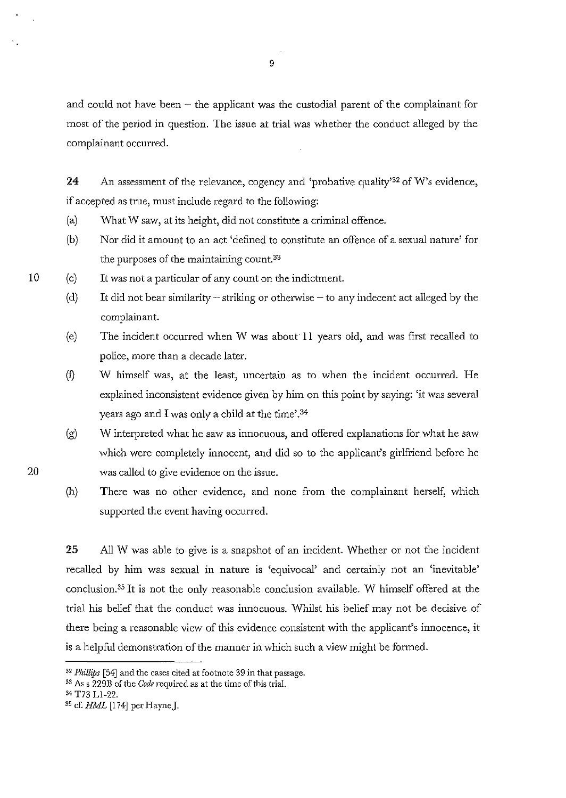and could not have been  $-$  the applicant was the custodial parent of the complainant for most of the period in question. The issue at trial was whether the conduct alleged by the complainant occurred.

24 An assessment of the relevance, cogency and 'probative quality'<sup>32</sup> of W's evidence, if accepted as true, must include regard to the following:

- (a) What W saw, at its height, did not constitute a criminal offence.
- (b) Nor did it amount to an act 'defined to constitute an offence of a sexual nature' for the purposes of the maintaining count.33
- (c) It was not a particular of any count on the indictment.
	- (d) It did not bear similarity  $-$  striking or otherwise  $-$  to any indecent act alleged by the complainant.
	- (e) The incident occurred when W was about **II** years old, and was first recalled to police, more than a decade later.
	- (f) W himself was, at the least, uncertain as to when the incident occurred. He explained inconsistent evidence given by him on this point by saying: 'it was several years ago and I was only a child at the time'.<sup>34</sup>
	- (g) W interpreted what he saw as innocuous, and offered explanations for what he saw which were completely innocent, and did so to the applicant's girlfriend before he was called to give evidence on the issue.
	- (h) There was no other evidence, and none from the complainant herself, which supported the event having occurred.

25 All W was able to give is a snapshot of an incident. Whether or not the incident recalled by him was sexual in nature is 'equivocal' and certainly not an 'inevitable' conclusion.35 It is not the only reasonable conclusion available. W himself offered at the trial his belief that the conduct was innocuous. Whilst his belief may not be decisive of there being a reasonable view of this evidence consistent with the applicant's innocence, it is a helpful demonstration of the manner in which such a view might be formed.

20

10

<sup>32</sup>*Plzillips* [54] and the cases cited at footnote 39 in that passage.

<sup>33</sup> As s 229B of the *Code* required as at the time of this trial.

<sup>34</sup> T73 Ll-22.

<sup>35</sup> cf. HML [174] per HayneJ.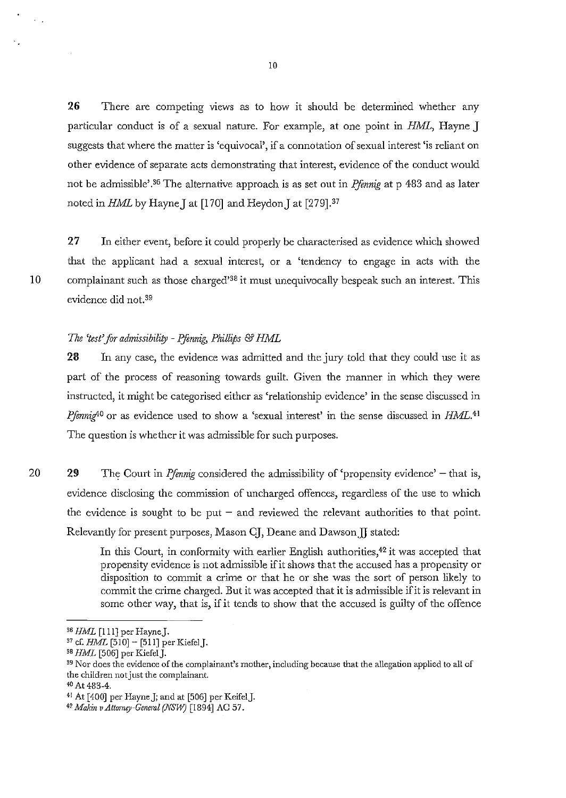**26** There are competing views as to how it should be determined whether any particular conduct is of a sexual nature. For example, at one point in *HML,* Hayne] suggests that where the matter is 'equivocal', if a connotation of sexual interest 'is reliant on other evidence of separate acts demonstrating that interest, evidence of the conduct would not be admissible<sup>2,36</sup> The alternative approach is as set out in *Pfennig* at p 483 and as later noted in *HML* by Hayne] at [170] and Heydon] at [279].37

27 In either event, before it could properly be characterised as evidence which showed that the applicant had a sexual interest, or a 'tendency to engage in acts with the 10 complainant such as those charged<sup>'38</sup> it must unequivocally bespeak such an interest. This evidence did not. 39

#### *The 'test'for admissibility* - *F:flnnig, Phillips* & *HML*

23 In any case, the evidence was admitted and the jury told that they could use it as part of the process of reasoning towards guilt. Given the manner in which they were instructed, it might be categorised either as 'relationship evidence' in the sense discussed in *Pfennig*<sup>40</sup> or as evidence used to show a 'sexual interest' in the sense discussed in *HML*.<sup>41</sup> The question is whether it was admissible for such purposes.

20 29 The Court in *Pfennig* considered the admissibility of 'propensity evidence' – that is, evidence disclosing the commission of uncharged offences, regardless of the use to which the evidence is sought to be put  $-$  and reviewed the relevant authorities to that point. Relevantly for present purposes, Mason CJ, Deane and Dawson JJ stated:

> In this Court, in conformity with earlier English authorities,<sup>42</sup> it was accepted that propensity evidence is not admissible if it shows that the accused has a propensity or disposition to commit a crime or that he or she was the sort of person likely to commit the crime charged. But it was accepted that it is admissible if it is relevant in some other way, that is, if it tends to show that the accused is guilty of the offence

<sup>&</sup>lt;sup>36</sup> HML [111] per Hayne J.

 $37$  cf. HML [510] - [511] per Kiefel J.

 $38$  HML [506] per Kiefel J.

**<sup>39</sup> Nor does the evidence of the complainant's mother, including because that the allegation applied to all of the children** not just **the complainant.** 

<sup>40</sup> At 483-4.

<sup>41</sup> At [400J per Hayne J; and at [506] per KeifelJ.

*<sup>&</sup>quot;Makin vAttomry-Geneml (NSW)* [1894] AC 57.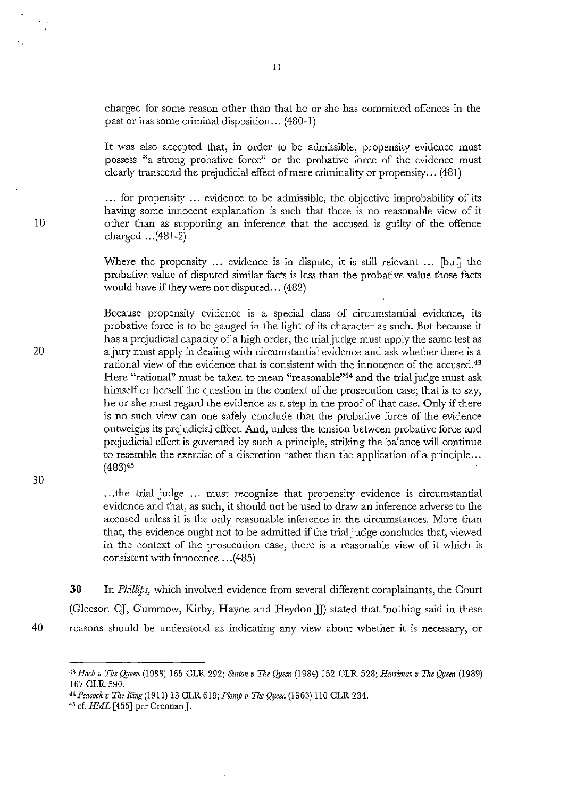charged for some reason other than that he or she has committed offences in the past or has some criminal disposition ... (480-1)

It was also accepted that, in order to be admissible, propensity evidence must possess "a strong probative force" or the probative force of the evidence must clearly transcend the prejudicial effect of mere criminality or propensity ... (481)

... for propensity ... evidence to be admissible, the objective improbability of its having some innocent explanation is such that there is no reasonable view of it other than as supporting an inference that the accused is guilty of the offence charged ... (481-2)

Where the propensity  $\ldots$  evidence is in dispute, it is still relevant  $\ldots$  [but] the probative value of disputed similar facts is less than the probative value those facts would have if they were not disputed... (482).

Because propensity evidence is a special class of circumstantial evidence, its probative force is to be gauged in the light of its character as such. But because it has a prejudicial capacity of a high order, the trial judge must apply the same test as a jury must apply in dealing with circumstantial evidence and ask whether there is a rational view of the evidence that is consistent with the innocence of the accused.43 Here "rational" must be taken to mean "reasonable"44 and the trial judge must ask himself or herself the question in the context of the prosecution case; that is to say, he or she must regard the evidence as a step in the proof of that case. Only if there is no such view can one safely conclude that the probative force of the evidence outweighs its prejudicial effect. And, unless the tension between probative force and prejudicial effect is governed by such a principle, striking the balance will continue to resemble the exercise of a discretion rather than the application of a principle ... (483)45

... the trial judge ... must recognize that propensity evidence is circumstantial evidence and that, as such, it should not be used to draw an inference adverse to the accused unless it is the only reasonable inference in the circumstances. More than that, the evidence ought not to be admitted if the trial judge concludes that, viewed in the context of the prosecution case, there is a reasonable view of it which is consistent with innocence ... (485)

**30** In *Phillips,* which involved evidence from several different complainants, the Court (Gleeson CJ, Gummow, Kirby, Hayne and Heydon II) stated that 'nothing said in these 40 reasons should be understood as indicating any view about whether it is necessary, or

30

10

<sup>43</sup> Hoch v The Queen (1988) 165 CLR 292; Sutton v The Queen (1984) 152 CLR 528; *Harriman v The Queen* (1989) 167 CLR 590.

<sup>44</sup>*Peacock v 77ze Ring* (1911) 13 CLR 619; *Plomp"* The *({JIBen* (1963) 110 CLR 234.

<sup>45</sup> cf. HML [455] per CrennanJ.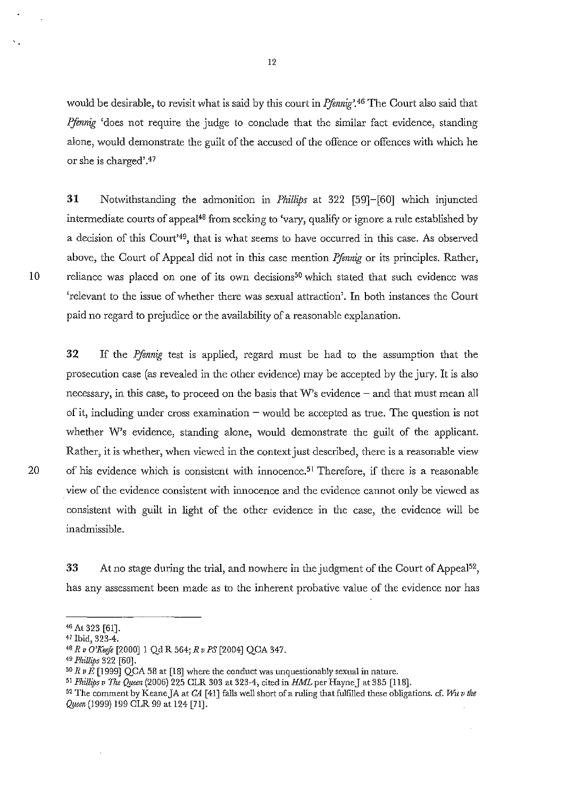would be desirable, to revisit what is said by this court in *Pfennig*?<sup>46</sup> The Court also said that *Ifennig* 'does not require the judge to conclude that the similar fact evidence, standing alone, would demonstrate the guilt of the accused of the offence or offences with which he or she is charged' .47

31 Notwithstanding the admonition in *Phillips* at 322 [59]-[60] which injuncted intermediate courts of appeal<sup>48</sup> from seeking to 'vary, qualify or ignore a rule established by a decision of this Court'49, that is what seems to have occurred in this case. As observed above, the Court of Appeal did not in this case mention *Pfennig* or its principles. Rather, 10 reliance was placed on one of its own decisions<sup>50</sup> which stated that such evidence was 'relevant to the issue of whether there was sexual attraction'. In both instances the Court paid no regard to prejudice or the availability of a reasonable explanation.

32 If the *Pfinnig* test is applied, regard must be had to the assumption that the prosecution case (as revealed in the other evidence) may be accepted by the jury. It is also necessary, in this case, to proceed on the basis that  $W$ 's evidence  $-$  and that must mean all of it, including under cross examination  $-$  would be accepted as true. The question is not whether W's evidence, standing alone, would demonstrate the guilt of the applicant. Rather, it is whether, when viewed in the context just described, there is a reasonable view 20 of his evidence which is consistent with innocence.<sup>51</sup> Therefore, if there is a reasonable . view of the evidence consistent with innocence and the evidence cannot only be viewed as consistent with guilt in light of the other evidence in the case, the evidence will be inadmissible.

33 At no stage during the trial, and nowhere in the judgment of the Court of Appeal<sup>52</sup>, has any assessment been made as to the inherent probative value of the evidence nor has

<sup>46</sup>At 323 [61].

<sup>47</sup> Ibid, 323-4.

<sup>48</sup>*Rv O'Keife* [2000]1 Qd R 564; *R v PS* [2004] QCA 347.

*<sup>49</sup> Phillips* 322 [60].

*<sup>50</sup> R v E* [1999] QCA 58 at [18] where the conduct was unquestionably sexual in nature.

<sup>5!</sup> *Phillips v The Qi/een* (2006) 225 CLR 303 at 323-4, cited in *HML* per HayneJ at 385 [118].

<sup>52</sup> The comment by KeaneJA at *CA* [41] falls well short of a ruling that fulfilled these obligations. cf. *Wu v the Queen* (1999) 199 CLR 99 at 124 [71].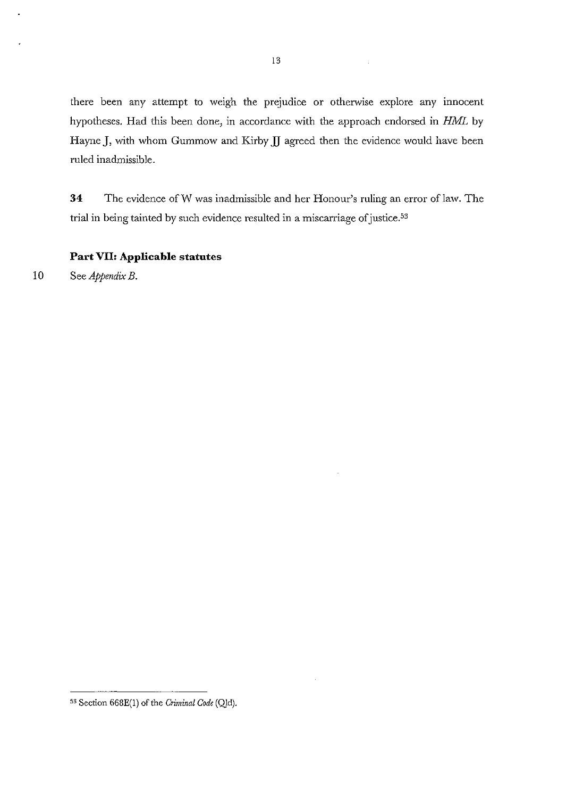there been any attempt to weigh the prejudice or otherwise explore any innocent hypotheses. Had this been done, in accordance with the approach endorsed in HML by HayneJ, with whom Gummow and Kirby *lJ* agreed then the evidence would have been ruled inadmissible.

**34** The evidence ofW was inadmissible and her Honour's ruling an error of law. The trial in being tainted by such evidence resulted in a miscarriage of justice. 53

#### **Part VII: Applicable statutes**

10 See *Appendix B.* 

<sup>53</sup> Section 668E(I) of the *C1iminal Code* (Qld).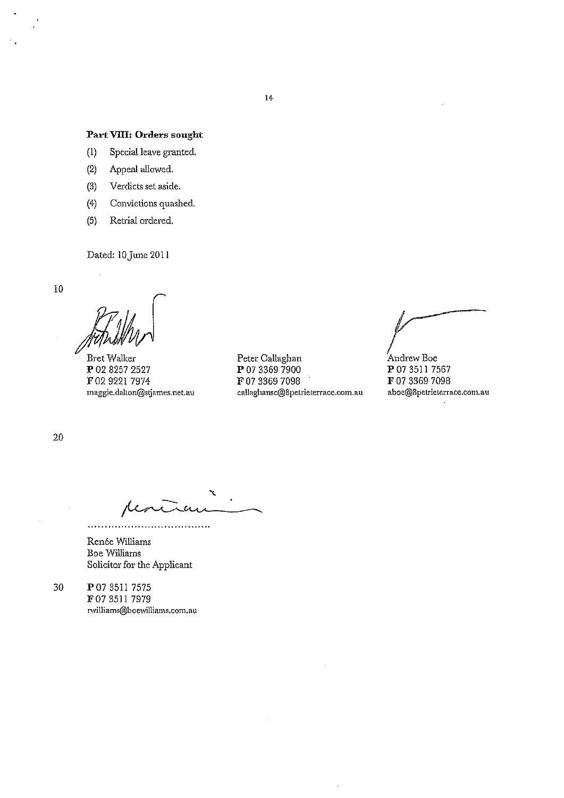#### **Part VIII: Orders sought**

- (I) Special leave granted.
- (2) Appeal allowed.
- (3) Verdicts set aside.
- (4) Convictions quashed.
- (5) Retrial ordered.

Dated: 10 June 2011

**10** 

BretWalker P 02 8257 2527 F 02 9221 7974 **magg.ie.dalton@sljames.net.a1.l** 

Peter Callaghan P 07 3369 7900 F 07 3369 7098 **callaghansc@8petrieterrace.com.au** 

Andrew Boe P 07 3511 7567 F 07 3369 7098 **aboe@8petrieterrace.com.au** 

20

 $\alpha$ 

. . . . . . . . . . . . . . . . .

Renée Williams Boe Williams Solicitor for the Applicant

 $\overline{1}$  . . . . . . .

30 P 073511 7575 F07 35!! 7979 **rwilliams@bocwilliams.com.au**  **14**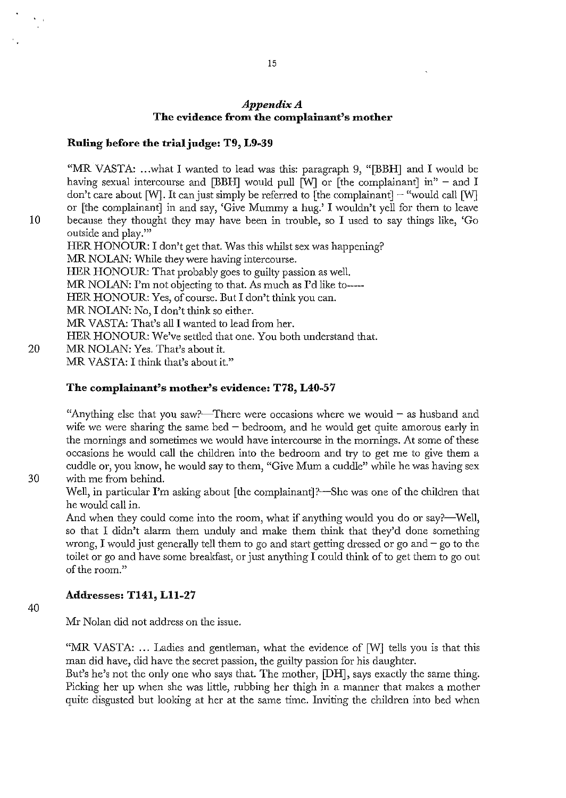#### *Appendix A*  The evidence from the complainant's mother

#### Ruling before the trial judge: T9, L9-39

"MR VASTA: ...what I wanted to lead was this: paragraph 9, "[BBH] and I would be having sexual intercourse and [BBH] would pull  $\overline{[W]}$  or  $\overline{[the~complainant]}$  in" – and I don't care about [W]. It can just simply be referred to [the complainant]  $-$  "would call [W] or [the complainant] in and say, 'Give Mummy a hug.' I wouldn't yell for them to leave 10 because they thought they may have been in trouble, so I used to say things like, 'Go outside and play.'" HER HONOUR: I don't get that. Was this whilst sex was happening? MR NOLAN: While they were having intercourse. HER HONOUR: That probably goes to guilty passion as well. MR NOLAN: I'm not objecting to that. As much as I'd like to-----HER HONOUR: Yes, of course. But I don't think you can. MR NOLAN: No, I don't think so either. MR VASTA: That's all I wanted to lead from her. HER HONOUR: We've settled that one. Yon both understand that. 20 MR NOLAN: Yes. That's about it. MR VASTA: I think that's about it."

### The complainant's mother's evidence: T78, L40-57

"Anything else that you saw?—There were occasions where we would  $-$  as husband and wife we were sharing the same bed  $-$  bedroom, and he would get quite amorous early in the mornings and sometimes we would have intercourse in the mornings. At some of these occasions he would call the children into the bedroom and try to get me to give them a cuddle or, you know, he would say to them, "Give Mum a cuddle" while he was having sex 30 with me from behind.

Well, in particular I'm asking about [the complainant]?—She was one of the children that he would call in.

And when they could come into the room, what if anything would you do or say?—Well, so that I didn't alarm them unduly and make them think that they'd done something wrong, I would just generally tell them to go and start getting dressed or go and  $-$  go to the toilet or go and have some breakfast, or just anything I could think of to get them to go out of the room."

#### Addresses: T141, Lll-27

40

Mr Nolan did not address on the issue.

"MR VASTA: ... Ladies and gentleman, what the evidence of  $[W]$  tells you is that this man did have, did have the secret passion, the guilty passion for his daughter.

But's he's not the only one who says that. The mother, [DB], says exactly the same thing. Picking her up when she was little, rubbing her thigh in a manner that makes a mother quite disgusted but looking at her at the same time. Inviting the children into bed when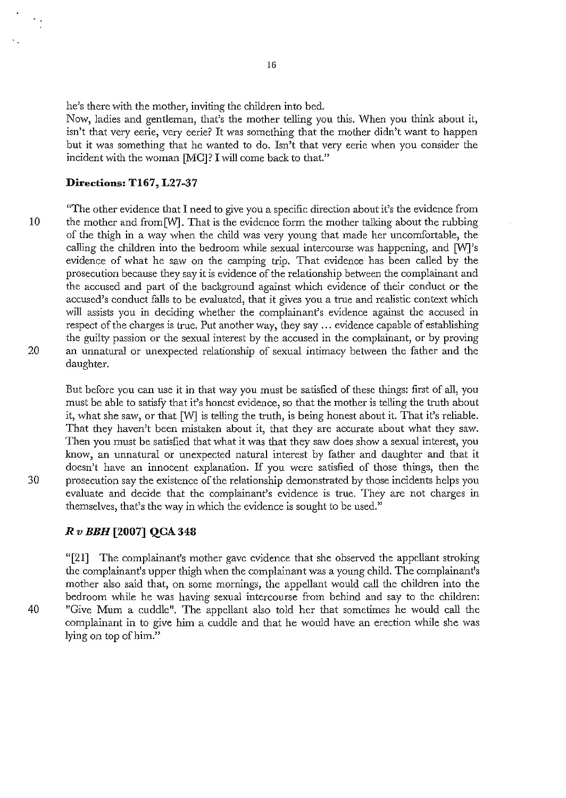he's there with the mother, inviting the children into bed.

Now, ladies and gentleman, that's the mother telling you this. When you think about it, isn't that very eerie, very eerie? It was something that the mother didn't want to happen but it was something that he wanted to do. Isn't that very eerie when you consider the incident with the woman [MC]? I will come back to that."

#### **Directions: T167, L27-37**

"The other evidence that I need to give you a specific direction about it's the evidence from 10 the mother and from [W]. That is the evidence form the mother talking about the rubbing of the thigh in a way when the child was very young that made her uncomfortable, the calling the children into the bedroom while sexual intercourse was happening, and [W]'s evidence of what he saw on the camping trip. That evidence has been called by the prosecution because they say it is evidence of the relationship between the complainant and the accused and part of the background against which evidence of their conduct or the accused's conduct falls to be evaluated, that it gives you a true and realistic context which will assists you in deciding whether the complainant's evidence against the accused in respect of the charges is true. Put another way, they say ... evidence capable of establishing the guilty passion or the sexual interest by the accused in the complainant, or by proving 20 an unnatural or unexpected relationship of sexual intimacy between the father and the daughter.

But before you can use it in that way you must be satisfied of these things: first of all, you must be able to satisfy that it's honest evidence, so that the mother is telling the truth about it, what she saw, or that [W] is telling the truth, is being honest about it. That it's reliable. That they haven't been mistaken about it, that they are accurate about what they saw. Then you must be satisfied that what it was that they saw does show a sexual interest, you know, an unnatural or unexpected natural interest by father and daughter and that it doesn't have an innocent explanation. If you were satisfied of those things, then the 30 prosecution say the existence of the relationship demonstrated by those incidents helps you evaluate and decide that the complainant's evidence is true. They are not charges in themselves, that's the way in which the evidence is sought to be used."

### *Rv BBH* **[2007] QCA 348**

"[21] The complainant's mother gave evidence that she observed the appellant stroking the complainant's upper thigh when the complainant was a young child. The complainant's mother also said that, on some mornings, the appellant would call the children into the bedroom while he was having sexual intercourse from behind and say to the children: 40 "Give Mum a cuddle". The appellant also told her that sometimes he would call the complainant in to give him a cuddle and that he would have an erection while she was lying on top of him."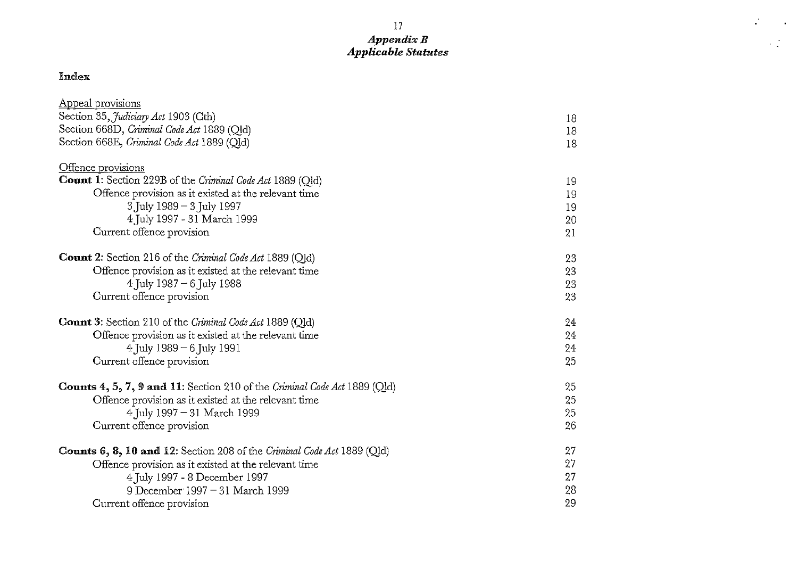### 17 *AppendixB Applicable Statutes*

 $\mathcal{L}^{\mathcal{L}}$ 

 $\sim 10$ 

 $\mathcal{L}^{(2)}_{\text{max}}$ 

## Index

| Appeal provisions                                                         |    |
|---------------------------------------------------------------------------|----|
| Section 35, Judiciary Act 1903 (Cth)                                      | 18 |
| Section 668D, Criminal Code Act 1889 (Qld)                                | 18 |
| Section 668E, Criminal Code Act 1889 (Qld)                                | 18 |
|                                                                           |    |
| Offence provisions                                                        |    |
| Count 1: Section 229B of the Criminal Code Act 1889 (Qld)                 | 19 |
| Offence provision as it existed at the relevant time                      | 19 |
| 3 July 1989 - 3 July 1997                                                 | 19 |
| 4 July 1997 - 31 March 1999                                               | 20 |
| Current offence provision                                                 | 21 |
| <b>Count 2:</b> Section 216 of the <i>Criminal Code Act</i> 1889 (Qld)    | 23 |
| Offence provision as it existed at the relevant time                      | 23 |
| 4 July 1987 – 6 July 1988                                                 | 23 |
| Current offence provision                                                 | 23 |
|                                                                           |    |
| <b>Count 3:</b> Section 210 of the Criminal Code Act 1889 (Qld)           | 24 |
| Offence provision as it existed at the relevant time                      | 24 |
| 4 July 1989 – 6 July 1991                                                 | 24 |
| Current offence provision                                                 | 25 |
|                                                                           |    |
| Counts 4, 5, 7, 9 and 11: Section 210 of the Criminal Code Act 1889 (Qld) | 25 |
| Offence provision as it existed at the relevant time                      | 25 |
| 4 July 1997 - 31 March 1999                                               | 25 |
| Current offence provision                                                 | 26 |
| Counts 6, 8, 10 and 12: Section 208 of the Criminal Code Act 1889 (Qld)   | 27 |
| Offence provision as it existed at the relevant time                      | 27 |
| 4 July 1997 - 8 December 1997                                             | 27 |
| 9 December 1997 - 31 March 1999                                           | 28 |
| Current offence provision                                                 | 29 |
|                                                                           |    |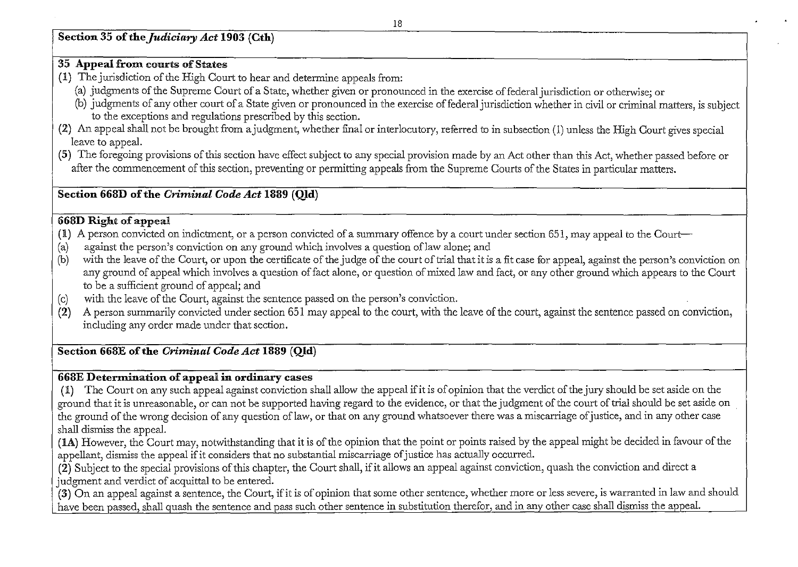**Section 35** of the *Judiciary Act* **1903 (Cth)** 

### **35 Appeal £rotn** courts of States

- (1) The jurisdiction of the High Court to hear and determine appeals from:
	- (a) judgments of the Supreme Court of a State, whether given or pronounced in the exercise of federal jurisdiction or otherwise; or
	- (b) judgments of any other court of a State given or pronounced in the exercise of federal jurisdiction whether in civil or criminal matters, is subject to the exceptions and regulations prescribed by this section.
- (2) An appeal shall not be brought from ajudgment, whether final or interlocutory, referred to in subsection (1) unless the High Court gives special leave to appeal.
- (5) The foregoing provisions of this section have effect subject to any special provision made by an Act other than this Act, whether passed before or after the commencement of this section, preventing or permitting appeals from the Supreme Courts of the States in particular matters.

### **Section 668D** of the *Criminal Code Act* **1889 (Qld)**

### **668D Right of appeal**

- $(1)$  A person convicted on indictment, or a person convicted of a summary offence by a court under section 651, may appeal to the Court-
- (a) against the person's conviction on any ground which involves a question oflaw alone; and
- (b) with the leave of the Court, or upon the certificate of the judge of the court of trial that it is a fit case for appeal, against the person's conviction on any ground of appeal which involves a question of fact alone, or question of mixed law and fact, or any other ground which appears to the Court to be a sufficient ground of appeal; and
- (c) with the leave of the Court, against the sentence passed on the person's conviction.
- $(2)$  A person summarily convicted under section 651 may appeal to the court, with the leave of the court, against the sentence passed on conviction, including any order made under that section.

### **Section 668E** of the *Criminal Code Act* **1889 (Qld)**

### **668E Determination of** appeal **in ordinary** cases

(1) The Court on any such appeal against conviction shall allow the appeal ifit is of opinion that the verdict of the jury should be set aside on the ground that it is unreasonable, or can not be supported having regard to the evidence, or that the judgment of the court of trial should be set aside on the ground of the wrong decision of any question oflaw, or that on any ground whatsoever there was a miscarriage of justice, and in any other case shall dismiss the appeal.

(lA) However, the Court may, notwithstanding that it is of the opinion that the point or points raised by the appeal might be decided in favour of the appellant, dismiss the appeal if it considers that no substantial miscarriage of justice has actually occurred.

(2) Subject to the special provisions of this chapter, the Court shall, if it allows an appeal against conviction, quash the conviction and direct a judgment and verdict of acquittal to be entered.

(3) On an appeal against a sentence, the Court, ifit is of opinion that some other sentence, whether more or less severe, is warranted in law and should have been passed, shall quash the sentence and pass such other sentence in substitution therefor, and in any other case shall dismiss the appeal.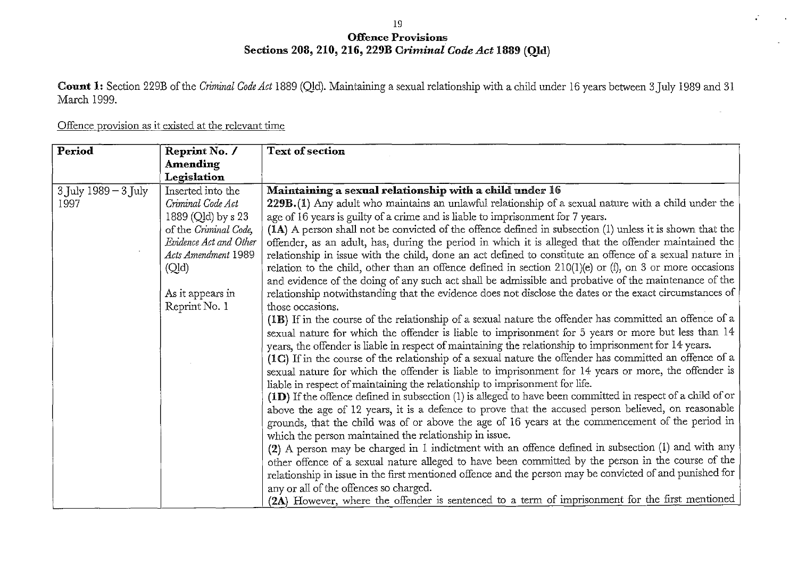### 19 Offence Provisions Sections 208, 210, 216, 229B *Criminal Code Act* 1889 (Qld)

Count 1: Section 229B of the *Criminal Code Act* 1889 (QJd). Maintaining a sexual relationship with a child under 16 years between 3July 1989 and 31 March 1999.

### Offence provision as it existed at the relevant time

| Period                   | Reprint No. /          | <b>Text of section</b>                                                                                      |
|--------------------------|------------------------|-------------------------------------------------------------------------------------------------------------|
|                          | <b>Amending</b>        |                                                                                                             |
|                          | Legislation            |                                                                                                             |
| $3$ July $1989 - 3$ July | Inserted into the      | Maintaining a sexual relationship with a child under 16                                                     |
| 1997                     | Criminal Code Act      | 229B.(1) Any adult who maintains an unlawful relationship of a sexual nature with a child under the         |
|                          | 1889 (Qld) by s 23     | age of 16 years is guilty of a crime and is liable to imprisonment for 7 years.                             |
|                          | of the Criminal Code,  | (IA) A person shall not be convicted of the offence defined in subsection (1) unless it is shown that the   |
|                          | Evidence Act and Other | offender, as an adult, has, during the period in which it is alleged that the offender maintained the       |
|                          | Acts Amendment 1989    | relationship in issue with the child, done an act defined to constitute an offence of a sexual nature in    |
|                          | (Qld)                  | relation to the child, other than an offence defined in section $210(1)(e)$ or (f), on 3 or more occasions  |
|                          |                        | and evidence of the doing of any such act shall be admissible and probative of the maintenance of the       |
|                          | As it appears in       | relationship notwithstanding that the evidence does not disclose the dates or the exact circumstances of    |
|                          | Reprint No. 1          | those occasions.                                                                                            |
|                          |                        | (1B) If in the course of the relationship of a sexual nature the offender has committed an offence of a     |
|                          |                        | sexual nature for which the offender is liable to imprisonment for 5 years or more but less than 14         |
|                          |                        | years, the offender is liable in respect of maintaining the relationship to imprisonment for 14 years.      |
|                          |                        | (1C) If in the course of the relationship of a sexual nature the offender has committed an offence of a     |
|                          |                        | sexual nature for which the offender is liable to imprisonment for 14 years or more, the offender is        |
|                          |                        | liable in respect of maintaining the relationship to imprisonment for life.                                 |
|                          |                        | (1D) If the offence defined in subsection (1) is alleged to have been committed in respect of a child of or |
|                          |                        | above the age of 12 years, it is a defence to prove that the accused person believed, on reasonable         |
|                          |                        | grounds, that the child was of or above the age of 16 years at the commencement of the period in            |
|                          |                        | which the person maintained the relationship in issue.                                                      |
|                          |                        | (2) A person may be charged in 1 indictment with an offence defined in subsection (1) and with any          |
|                          |                        | other offence of a sexual nature alleged to have been committed by the person in the course of the          |
|                          |                        | relationship in issue in the first mentioned offence and the person may be convicted of and punished for    |
|                          |                        | any or all of the offences so charged.                                                                      |
|                          |                        | (2A) However, where the offender is sentenced to a term of imprisonment for the first mentioned             |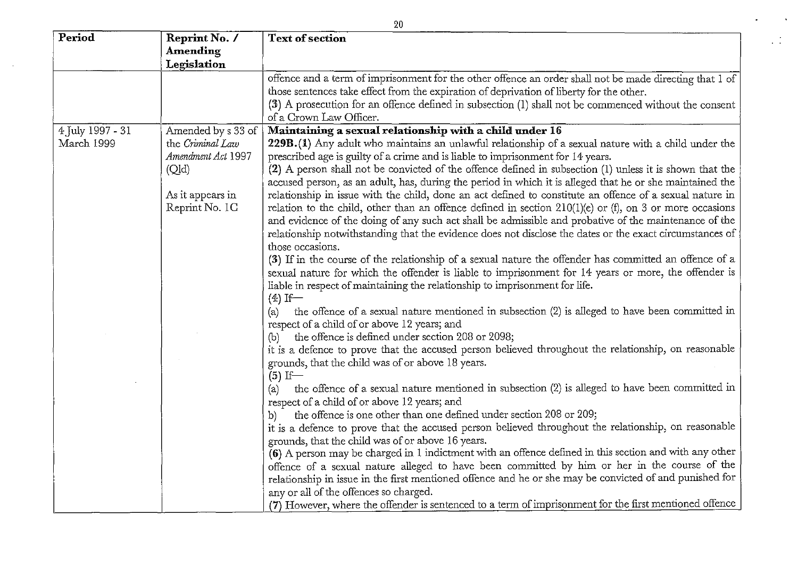| Period           | Reprint No. /      | <b>Text of section</b>                                                                                                                                                                              |
|------------------|--------------------|-----------------------------------------------------------------------------------------------------------------------------------------------------------------------------------------------------|
|                  | Amending           |                                                                                                                                                                                                     |
|                  | Legislation        |                                                                                                                                                                                                     |
|                  |                    | offence and a term of imprisonment for the other offence an order shall not be made directing that 1 of<br>those sentences take effect from the expiration of deprivation of liberty for the other. |
|                  |                    | (3) A prosecution for an offence defined in subsection (1) shall not be commenced without the consent                                                                                               |
|                  |                    | of a Crown Law Officer.                                                                                                                                                                             |
| 4 July 1997 - 31 | Amended by s 33 of | Maintaining a sexual relationship with a child under 16                                                                                                                                             |
| March 1999       | the Criminal Law   | 229B.(1) Any adult who maintains an unlawful relationship of a sexual nature with a child under the                                                                                                 |
|                  | Amendment Act 1997 | prescribed age is guilty of a crime and is liable to imprisonment for 14 years.                                                                                                                     |
|                  | (Qld)              | (2) A person shall not be convicted of the offence defined in subsection (1) unless it is shown that the                                                                                            |
|                  |                    | accused person, as an adult, has, during the period in which it is alleged that he or she maintained the                                                                                            |
|                  | As it appears in   | relationship in issue with the child, done an act defined to constitute an offence of a sexual nature in                                                                                            |
|                  | Reprint No. 1C     | relation to the child, other than an offence defined in section $210(1)(e)$ or (f), on 3 or more occasions                                                                                          |
|                  |                    | and evidence of the doing of any such act shall be admissible and probative of the maintenance of the                                                                                               |
|                  |                    | relationship notwithstanding that the evidence does not disclose the dates or the exact circumstances of                                                                                            |
|                  |                    | those occasions.                                                                                                                                                                                    |
|                  |                    | (3) If in the course of the relationship of a sexual nature the offender has committed an offence of a                                                                                              |
|                  |                    | sexual nature for which the offender is liable to imprisonment for 14 years or more, the offender is                                                                                                |
|                  |                    | liable in respect of maintaining the relationship to imprisonment for life.                                                                                                                         |
|                  |                    | $(4)$ If<br>the offence of a sexual nature mentioned in subsection (2) is alleged to have been committed in                                                                                         |
|                  |                    | (a)<br>respect of a child of or above 12 years; and                                                                                                                                                 |
|                  |                    | the offence is defined under section 208 or 2098;<br>(b)                                                                                                                                            |
|                  |                    | it is a defence to prove that the accused person believed throughout the relationship, on reasonable                                                                                                |
|                  |                    | grounds, that the child was of or above 18 years.                                                                                                                                                   |
|                  |                    | $(5)$ If                                                                                                                                                                                            |
|                  |                    | the offence of a sexual nature mentioned in subsection (2) is alleged to have been committed in<br>(a)                                                                                              |
|                  |                    | respect of a child of or above 12 years; and                                                                                                                                                        |
|                  |                    | the offence is one other than one defined under section 208 or 209;<br>b)                                                                                                                           |
|                  |                    | it is a defence to prove that the accused person believed throughout the relationship, on reasonable                                                                                                |
|                  |                    | grounds, that the child was of or above 16 years.                                                                                                                                                   |
|                  |                    | (6) A person may be charged in 1 indictment with an offence defined in this section and with any other                                                                                              |
|                  |                    | offence of a sexual nature alleged to have been committed by him or her in the course of the                                                                                                        |
|                  |                    | relationship in issue in the first mentioned offence and he or she may be convicted of and punished for                                                                                             |
|                  |                    | any or all of the offences so charged.                                                                                                                                                              |
|                  |                    | (7) However, where the offender is sentenced to a term of imprisonment for the first mentioned offence                                                                                              |

20

 $\cdot$ 

 $\mathbb{I}$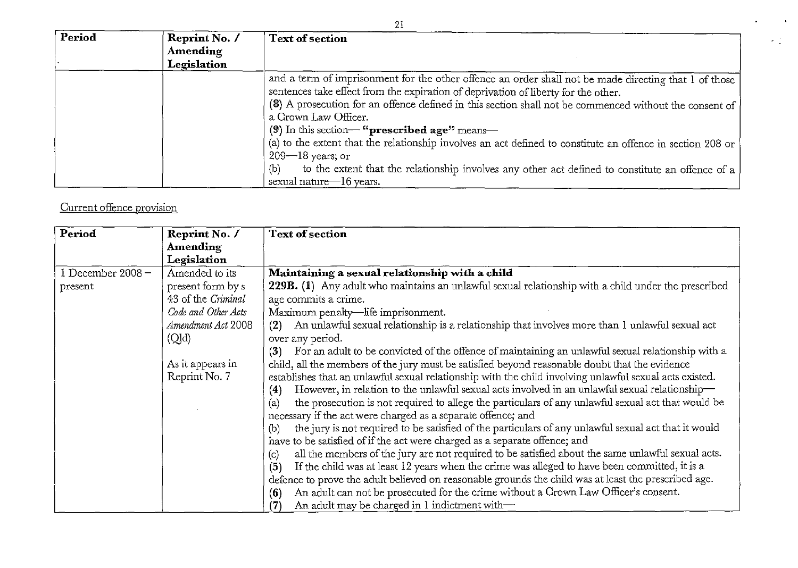| Period | Reprint No. /<br><b>Amending</b><br>Legislation | 21<br><b>Text of section</b>                                                                                                                                                                                                                                                                                                                                                                                                                                                                                                                                                                                                                                                     |
|--------|-------------------------------------------------|----------------------------------------------------------------------------------------------------------------------------------------------------------------------------------------------------------------------------------------------------------------------------------------------------------------------------------------------------------------------------------------------------------------------------------------------------------------------------------------------------------------------------------------------------------------------------------------------------------------------------------------------------------------------------------|
|        |                                                 | and a term of imprisonment for the other offence an order shall not be made directing that 1 of those<br>sentences take effect from the expiration of deprivation of liberty for the other.<br>(8) A prosecution for an offence defined in this section shall not be commenced without the consent of<br>a Crown Law Officer.<br>(9) In this section—" <b>prescribed age</b> <sup>99</sup> means—<br>(a) to the extent that the relationship involves an act defined to constitute an offence in section 208 or<br>$209 - 18$ years; or<br>to the extent that the relationship involves any other act defined to constitute an offence of a<br>(b)<br>sexual nature $-16$ years. |

# Current offence provision

| Period              | Reprint No. /       | <b>Text of section</b>                                                                                      |
|---------------------|---------------------|-------------------------------------------------------------------------------------------------------------|
|                     | <b>Amending</b>     |                                                                                                             |
|                     | Legislation         |                                                                                                             |
| 1 December $2008 -$ | Amended to its      | Maintaining a sexual relationship with a child                                                              |
| present             | present form by s   | 229B. (1) Any adult who maintains an unlawful sexual relationship with a child under the prescribed         |
|                     | 43 of the Criminal  | age commits a crime.                                                                                        |
|                     | Code and Other Acts | Maximum penalty-life imprisonment.                                                                          |
|                     | Amendment Act 2008  | An unlawful sexual relationship is a relationship that involves more than 1 unlawful sexual act<br>(2)      |
|                     | (QId)               | over any period.                                                                                            |
|                     |                     | For an adult to be convicted of the offence of maintaining an unlawful sexual relationship with a<br>(3)    |
|                     | As it appears in    | child, all the members of the jury must be satisfied beyond reasonable doubt that the evidence              |
|                     | Reprint No. 7       | establishes that an unlawful sexual relationship with the child involving unlawful sexual acts existed.     |
|                     |                     | However, in relation to the unlawful sexual acts involved in an unlawful sexual relationship—<br>(4)        |
|                     |                     | the prosecution is not required to allege the particulars of any unlawful sexual act that would be<br>(a)   |
|                     |                     | necessary if the act were charged as a separate offence; and                                                |
|                     |                     | the jury is not required to be satisfied of the particulars of any unlawful sexual act that it would<br>(b) |
|                     |                     | have to be satisfied of if the act were charged as a separate offence; and                                  |
|                     |                     | all the members of the jury are not required to be satisfied about the same unlawful sexual acts.<br>(c)    |
|                     |                     | If the child was at least 12 years when the crime was alleged to have been committed, it is a<br>(5)        |
|                     |                     | defence to prove the adult believed on reasonable grounds the child was at least the prescribed age.        |
|                     |                     | An adult can not be prosecuted for the crime without a Crown Law Officer's consent.<br>(6)                  |
|                     |                     | An adult may be charged in 1 indictment with-<br>$\left( 7\right)$                                          |

 $\ddot{\phantom{a}}$ 

 $\omega_{\rm{max}}$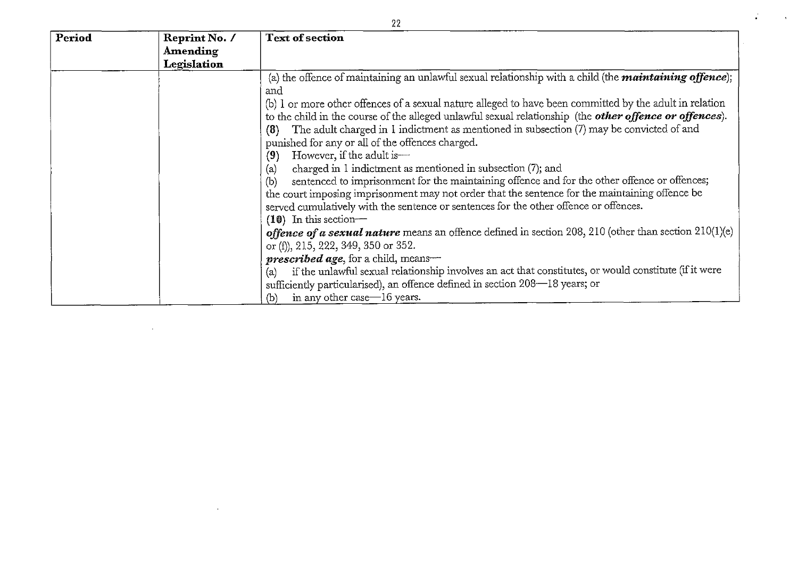| Period | Reprint No. /   | <b>Text of section</b>                                                                                                |
|--------|-----------------|-----------------------------------------------------------------------------------------------------------------------|
|        | <b>Amending</b> |                                                                                                                       |
|        | Legislation     |                                                                                                                       |
|        |                 | (a) the offence of maintaining an unlawful sexual relationship with a child (the <i>maintaining offence</i> );<br>and |
|        |                 | (b) I or more other offences of a sexual nature alleged to have been committed by the adult in relation               |
|        |                 | to the child in the course of the alleged unlawful sexual relationship (the other offence or offences).               |
|        |                 | The adult charged in 1 indictment as mentioned in subsection (7) may be convicted of and<br>(8)                       |
|        |                 | punished for any or all of the offences charged.                                                                      |
|        |                 | However, if the adult is-<br>(9)                                                                                      |
|        |                 | charged in 1 indictment as mentioned in subsection (7); and<br>(a)                                                    |
|        |                 | sentenced to imprisonment for the maintaining offence and for the other offence or offences;<br>(b)                   |
|        |                 | the court imposing imprisonment may not order that the sentence for the maintaining offence be                        |
|        |                 | served cumulatively with the sentence or sentences for the other offence or offences.                                 |
|        |                 | $(10)$ In this section-                                                                                               |
|        |                 | <b>offence of a sexual nature</b> means an offence defined in section 208, 210 (other than section $210(1)(e)$ )      |
|        |                 | or (f), 215, 222, 349, 350 or 352.                                                                                    |
|        |                 | <b>prescribed age</b> , for a child, means-                                                                           |
|        |                 | if the unlawful sexual relationship involves an act that constitutes, or would constitute (if it were<br>(a)          |
|        |                 | sufficiently particularised), an offence defined in section 208-18 years; or                                          |
|        |                 | in any other case—16 years.<br>(b)                                                                                    |

 $\sim$   $\sim$ 

 $\sim 100$ 

22

 $\mathcal{A}$ 

Ž.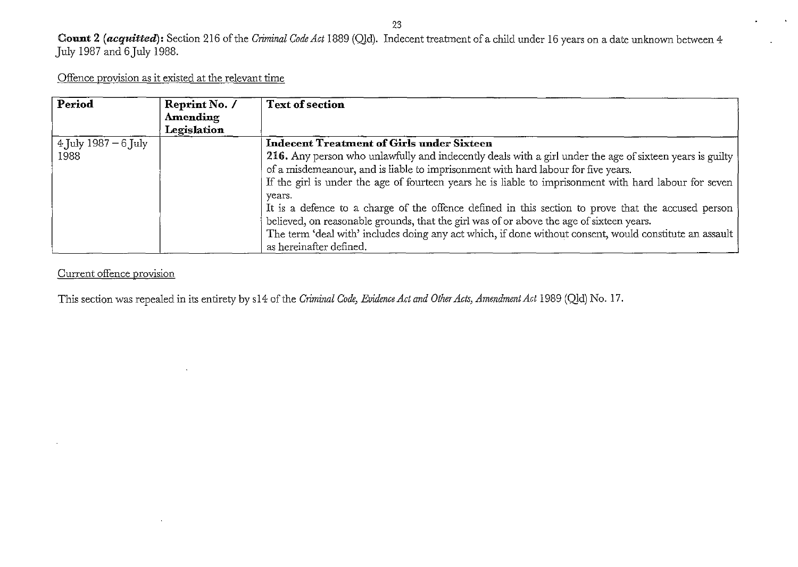#### 23

 $\ddot{\phantom{a}}$ 

**Count 2** *(acquitted):* Section 216 of the *Criminal Code Act* 1889 (QId). Indecent treatment of a child under 16 years on a date unlmown between 4 July 1987 and 6 July 1988.

Offence provision as it existed at the relevant time

| Period                                               | Reprint No. /<br>Amending<br>Legislation | <b>Text of section</b>                                                                                                                                                                                                                                                                                                                          |
|------------------------------------------------------|------------------------------------------|-------------------------------------------------------------------------------------------------------------------------------------------------------------------------------------------------------------------------------------------------------------------------------------------------------------------------------------------------|
| $\frac{4 \text{ July } 1987 - 6 \text{ July}}{2000}$ |                                          | <b>Indecent Treatment of Girls under Sixteen</b>                                                                                                                                                                                                                                                                                                |
| 1988                                                 |                                          | 216. Any person who unlawfully and indecently deals with a girl under the age of sixteen years is guilty<br>of a misdemeanour, and is liable to imprisonment with hard labour for five years.<br>If the girl is under the age of fourteen years he is liable to imprisonment with hard labour for seven                                         |
|                                                      |                                          | years.<br>It is a defence to a charge of the offence defined in this section to prove that the accused person<br>believed, on reasonable grounds, that the girl was of or above the age of sixteen years.<br>The term 'deal with' includes doing any act which, if done without consent, would constitute an assault<br>as hereinafter defined. |

Current offence provision

 $\ddot{\phantom{a}}$ 

 $\cdot$ 

This section was repealed in its entirety by s14 of the *Criminal Code, Evidence Act and Other Acts, Amendment Act* 1989 (Qld) No. 17.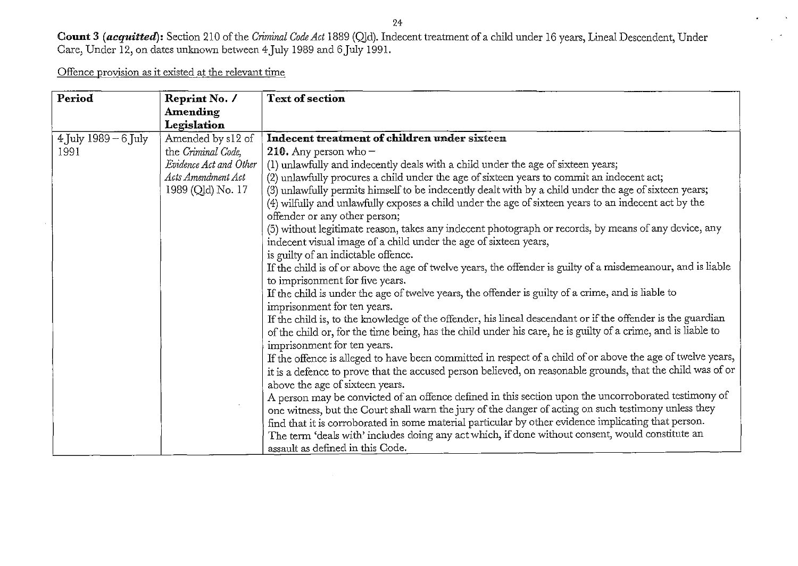24

**Count** 3 *(acquitted):* Section 210 of the *Criminal Code Act* 1889 (QJd). Indecent treatment of a child under 16 years, Lineal Descendent, Under Care, Under 12, on dates unlmown between 4July 1989 and 6July 1991.

Offence provision as it existed at the relevant time

| Period                 | Reprint No. /          | <b>Text of section</b>                                                                                       |
|------------------------|------------------------|--------------------------------------------------------------------------------------------------------------|
|                        | <b>Amending</b>        |                                                                                                              |
|                        | Legislation            |                                                                                                              |
| $4$ July 1989 – 6 July | Amended by s12 of      | Indecent treatment of children under sixteen                                                                 |
| 1991                   | the Criminal Code,     | 210. Any person who $-$                                                                                      |
|                        | Evidence Act and Other | (1) unlawfully and indecently deals with a child under the age of sixteen years;                             |
|                        | Acts Amendment Act     | (2) unlawfully procures a child under the age of sixteen years to commit an indecent act;                    |
|                        | 1989 (Qld) No. 17      | (3) unlawfully permits himself to be indecently dealt with by a child under the age of sixteen years;        |
|                        |                        | (4) wilfully and unlawfully exposes a child under the age of sixteen years to an indecent act by the         |
|                        |                        | offender or any other person;                                                                                |
|                        |                        | (5) without legitimate reason, takes any indecent photograph or records, by means of any device, any         |
|                        |                        | indecent visual image of a child under the age of sixteen years,                                             |
|                        |                        | is guilty of an indictable offence.                                                                          |
|                        |                        | If the child is of or above the age of twelve years, the offender is guilty of a misdemeanour, and is liable |
|                        |                        | to imprisonment for five years.                                                                              |
|                        |                        | If the child is under the age of twelve years, the offender is guilty of a crime, and is liable to           |
|                        |                        | imprisonment for ten years.                                                                                  |
|                        |                        | If the child is, to the knowledge of the offender, his lineal descendant or if the offender is the guardian  |
|                        |                        | of the child or, for the time being, has the child under his care, he is guilty of a crime, and is liable to |
|                        |                        | imprisonment for ten years.                                                                                  |
|                        |                        | If the offence is alleged to have been committed in respect of a child of or above the age of twelve years,  |
|                        |                        | it is a defence to prove that the accused person believed, on reasonable grounds, that the child was of or   |
|                        |                        | above the age of sixteen years.                                                                              |
|                        |                        | A person may be convicted of an offence defined in this section upon the uncorroborated testimony of         |
|                        |                        | one witness, but the Court shall warn the jury of the danger of acting on such testimony unless they         |
|                        |                        | find that it is corroborated in some material particular by other evidence implicating that person.          |
|                        |                        | The term 'deals with' includes doing any act which, if done without consent, would constitute an             |
|                        |                        | assault as defined in this Code.                                                                             |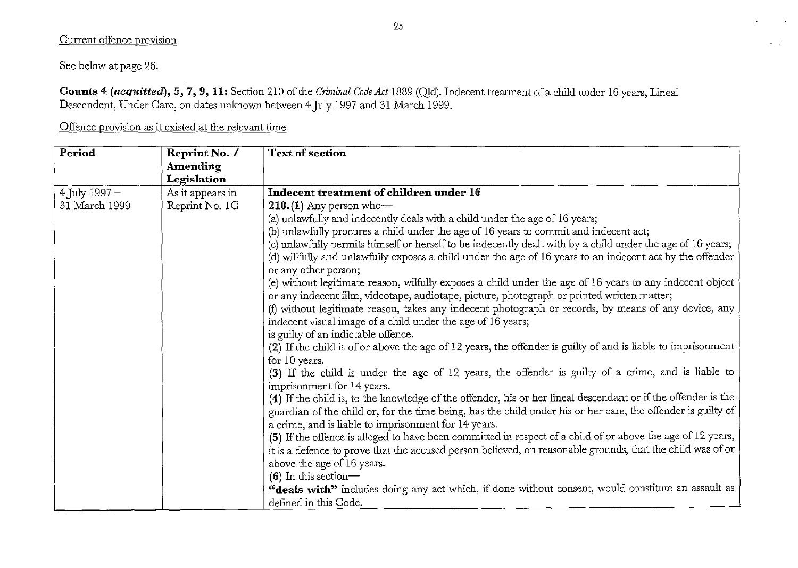### Current offence provision

See below at page 26.

**Counts** 4 *(acquitted),* 5, 7, 9, 11: Section 210 of the *Criminal Code Act* 1889 (QJd). Indecent treatment of a child under 16 years, Lineal Descendent, Under Care, on dates unlmown between 4July 1997 and 31 March 1999.

Offence provision as it existed at the relevant time

| Period            | Reprint No. /    | <b>Text of section</b>                                                                                        |
|-------------------|------------------|---------------------------------------------------------------------------------------------------------------|
|                   | Amending         |                                                                                                               |
|                   | Legislation      |                                                                                                               |
| $4$ July $1997 -$ | As it appears in | Indecent treatment of children under 16                                                                       |
| 31 March 1999     | Reprint No. 1C   | $210.(1)$ Any person who-                                                                                     |
|                   |                  | (a) unlawfully and indecently deals with a child under the age of 16 years;                                   |
|                   |                  | (b) unlawfully procures a child under the age of 16 years to commit and indecent act;                         |
|                   |                  | (c) unlawfully permits himself or herself to be indecently dealt with by a child under the age of 16 years;   |
|                   |                  | (d) willfully and unlawfully exposes a child under the age of 16 years to an indecent act by the offender     |
|                   |                  | or any other person;                                                                                          |
|                   |                  | (e) without legitimate reason, wilfully exposes a child under the age of 16 years to any indecent object      |
|                   |                  | or any indecent film, videotape, audiotape, picture, photograph or printed written matter;                    |
|                   |                  | (f) without legitimate reason, takes any indecent photograph or records, by means of any device, any          |
|                   |                  | indecent visual image of a child under the age of 16 years;                                                   |
|                   |                  | is guilty of an indictable offence.                                                                           |
|                   |                  | (2) If the child is of or above the age of 12 years, the offender is guilty of and is liable to imprisonment  |
|                   |                  | for 10 years.                                                                                                 |
|                   |                  | (3) If the child is under the age of 12 years, the offender is guilty of a crime, and is liable to            |
|                   |                  | imprisonment for 14 years.                                                                                    |
|                   |                  | (4) If the child is, to the knowledge of the offender, his or her lineal descendant or if the offender is the |
|                   |                  | guardian of the child or, for the time being, has the child under his or her care, the offender is guilty of  |
|                   |                  | a crime, and is liable to imprisonment for 14 years.                                                          |
|                   |                  | (5) If the offence is alleged to have been committed in respect of a child of or above the age of 12 years,   |
|                   |                  | it is a defence to prove that the accused person believed, on reasonable grounds, that the child was of or    |
|                   |                  | above the age of 16 years.                                                                                    |
|                   |                  | $(6)$ In this section—                                                                                        |
|                   |                  | "deals with" includes doing any act which, if done without consent, would constitute an assault as            |
|                   |                  | defined in this Code.                                                                                         |

 $\sim$ 

 $\frac{1}{2}$  ,  $\frac{1}{2}$  ,  $\frac{1}{2}$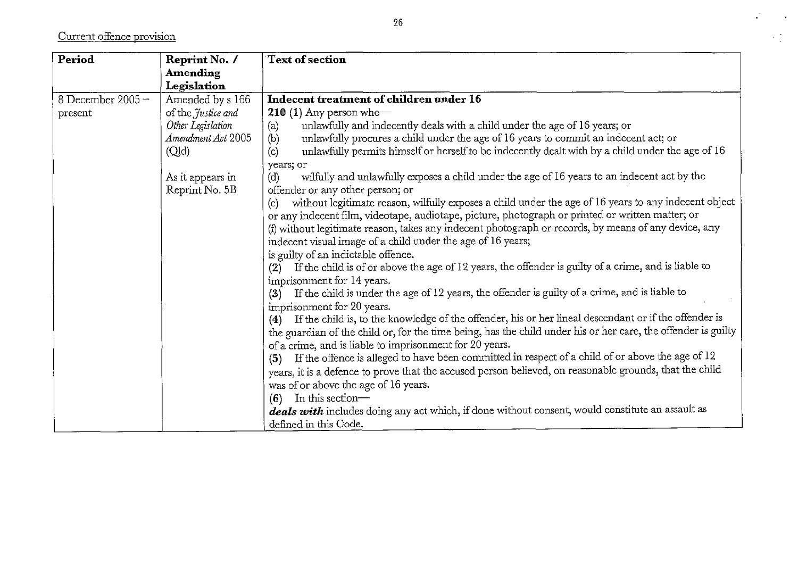Current offence provision

| Period           | Reprint No. /      | <b>Text of section</b>                                                                                        |
|------------------|--------------------|---------------------------------------------------------------------------------------------------------------|
|                  | Amending           |                                                                                                               |
|                  | Legislation        |                                                                                                               |
| 8 December 2005- | Amended by s 166   | Indecent treatment of children under 16                                                                       |
| present          | of the Justice and | 210 (1) Any person who-                                                                                       |
|                  | Other Legislation  | unlawfully and indecently deals with a child under the age of 16 years; or<br>(a)                             |
|                  | Amendment Act 2005 | unlawfully procures a child under the age of 16 years to commit an indecent act; or<br>(b)                    |
|                  | (Qld)              | unlawfully permits himself or herself to be indecently dealt with by a child under the age of 16<br>(c)       |
|                  |                    | years; or                                                                                                     |
|                  | As it appears in   | wilfully and unlawfully exposes a child under the age of 16 years to an indecent act by the<br>(d)            |
|                  | Reprint No. 5B     | offender or any other person; or                                                                              |
|                  |                    | without legitimate reason, wilfully exposes a child under the age of 16 years to any indecent object<br>(e)   |
|                  |                    | or any indecent film, videotape, audiotape, picture, photograph or printed or written matter; or              |
|                  |                    | (f) without legitimate reason, takes any indecent photograph or records, by means of any device, any          |
|                  |                    | indecent visual image of a child under the age of 16 years;                                                   |
|                  |                    | is guilty of an indictable offence.                                                                           |
|                  |                    | If the child is of or above the age of 12 years, the offender is guilty of a crime, and is liable to<br>(2)   |
|                  |                    | imprisonment for 14 years.                                                                                    |
|                  |                    | If the child is under the age of 12 years, the offender is guilty of a crime, and is liable to<br>(3)         |
|                  |                    | imprisonment for 20 years.                                                                                    |
|                  |                    | If the child is, to the knowledge of the offender, his or her lineal descendant or if the offender is<br>(4)  |
|                  |                    | the guardian of the child or, for the time being, has the child under his or her care, the offender is guilty |
|                  |                    | of a crime, and is liable to imprisonment for 20 years.                                                       |
|                  |                    | If the offence is alleged to have been committed in respect of a child of or above the age of 12<br>(5)       |
|                  |                    | years, it is a defence to prove that the accused person believed, on reasonable grounds, that the child       |
|                  |                    | was of or above the age of 16 years.                                                                          |
|                  |                    | In this section-<br>(6)                                                                                       |
|                  |                    | deals with includes doing any act which, if done without consent, would constitute an assault as              |
|                  |                    | defined in this Code.                                                                                         |

 $\mathcal{L}$ 

 $\sim 10$ 

 $\frac{1}{2}$  .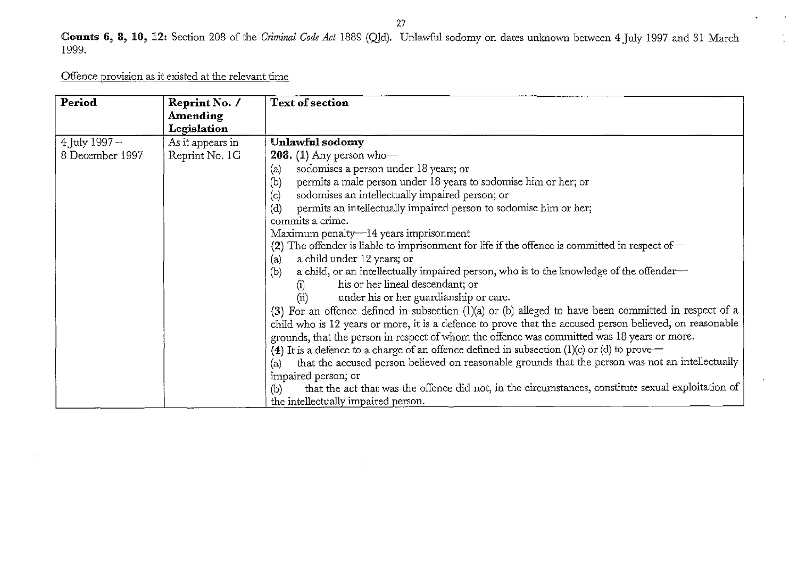$\mathbf{r}$  $\mathcal{L}^{\pm}$ 

Counts 6, \$, HI, 12, Section 208 of the *Criminal Code Act* 1889 (QId). Unlawful sodomy on dates unlmown between 4July 1997 and 31 March 1999.

Offence provision as it existed at the relevant time

| Period          | Reprint No. /    | Text of section                                                                                           |
|-----------------|------------------|-----------------------------------------------------------------------------------------------------------|
|                 | <b>Amending</b>  |                                                                                                           |
|                 | Legislation      |                                                                                                           |
| 4 July 1997 -   | As it appears in | Unlawful sodomy                                                                                           |
| 8 December 1997 | Reprint No. 1C   | <b>208.</b> (1) Any person who-                                                                           |
|                 |                  | sodomises a person under 18 years; or<br>(a)                                                              |
|                 |                  | permits a male person under 18 years to sodomise him or her; or<br>(b)                                    |
|                 |                  | sodomises an intellectually impaired person; or<br>(c)                                                    |
|                 |                  | permits an intellectually impaired person to sodomise him or her;<br>(d)                                  |
|                 |                  | commits a crime.                                                                                          |
|                 |                  | Maximum penalty—14 years imprisonment                                                                     |
|                 |                  | (2) The offender is liable to imprisonment for life if the offence is committed in respect of-            |
|                 |                  | a child under 12 years; or<br>(a)                                                                         |
|                 |                  | a child, or an intellectually impaired person, who is to the knowledge of the offender-<br>(b)            |
|                 |                  | his or her lineal descendant; or                                                                          |
|                 |                  | under his or her guardianship or care.<br>(ii)                                                            |
|                 |                  | (3) For an offence defined in subsection $(1)(a)$ or $(b)$ alleged to have been committed in respect of a |
|                 |                  | child who is 12 years or more, it is a defence to prove that the accused person believed, on reasonable   |
|                 |                  | grounds, that the person in respect of whom the offence was committed was 18 years or more.               |
|                 |                  | (4) It is a defence to a charge of an offence defined in subsection (1)(c) or (d) to prove $-$            |
|                 |                  | that the accused person believed on reasonable grounds that the person was not an intellectually<br>(a)   |
|                 |                  | impaired person; or                                                                                       |
|                 |                  | that the act that was the offence did not, in the circumstances, constitute sexual exploitation of<br>(b) |
|                 |                  | the intellectually impaired person.                                                                       |

 $\mathcal{I}$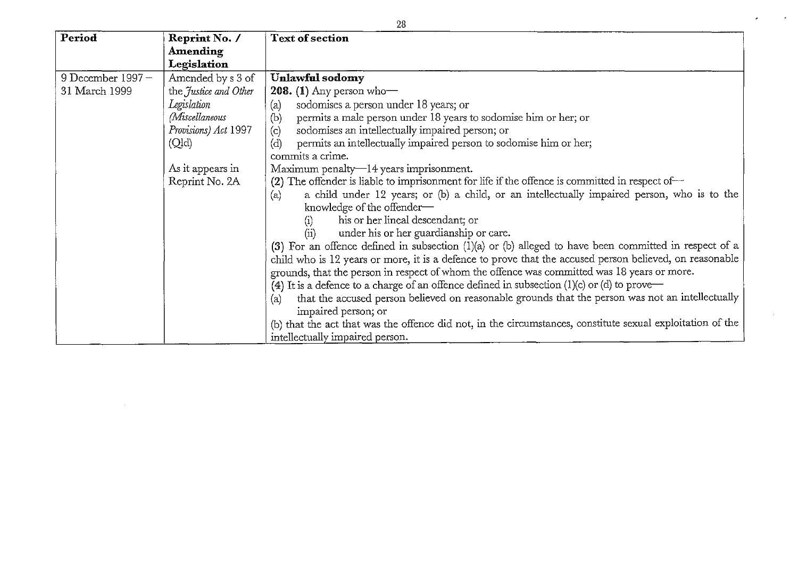| 28                  |                       |                                                                                                            |  |
|---------------------|-----------------------|------------------------------------------------------------------------------------------------------------|--|
| Period              | Reprint No. /         | <b>Text of section</b>                                                                                     |  |
|                     | <b>Amending</b>       |                                                                                                            |  |
|                     | Legislation           |                                                                                                            |  |
| 9 December 1997 $-$ | Amended by s 3 of     | <b>Unlawful sodomy</b>                                                                                     |  |
| 31 March 1999       | the Justice and Other | 208. (1) Any person who-                                                                                   |  |
|                     | Legislation           | sodomises a person under 18 years; or<br>(a)                                                               |  |
|                     | <i>(Miscellaneous</i> | (b)<br>permits a male person under 18 years to sodomise him or her; or                                     |  |
|                     | Provisions) Act 1997  | sodomises an intellectually impaired person; or<br>(c)                                                     |  |
|                     | (Qld)                 | permits an intellectually impaired person to sodomise him or her;<br>(d)                                   |  |
|                     |                       | commits a crime.                                                                                           |  |
|                     | As it appears in      | Maximum penalty—14 years imprisonment.                                                                     |  |
|                     | Reprint No. 2A        | (2) The offender is liable to imprisonment for life if the offence is committed in respect of $\sim$       |  |
|                     |                       | a child under 12 years; or (b) a child, or an intellectually impaired person, who is to the<br>(a)         |  |
|                     |                       | knowledge of the offender-                                                                                 |  |
|                     |                       | his or her lineal descendant; or<br>(i)                                                                    |  |
|                     |                       | under his or her guardianship or care.<br>(ii)                                                             |  |
|                     |                       | (3) For an offence defined in subsection $(1)(a)$ or $(b)$ alleged to have been committed in respect of a  |  |
|                     |                       | child who is 12 years or more, it is a defence to prove that the accused person believed, on reasonable    |  |
|                     |                       | grounds, that the person in respect of whom the offence was committed was 18 years or more.                |  |
|                     |                       | (4) It is a defence to a charge of an offence defined in subsection $(1)(c)$ or $(d)$ to prove             |  |
|                     |                       | that the accused person believed on reasonable grounds that the person was not an intellectually<br>(a)    |  |
|                     |                       | impaired person; or                                                                                        |  |
|                     |                       | (b) that the act that was the offence did not, in the circumstances, constitute sexual exploitation of the |  |
|                     |                       | intellectually impaired person.                                                                            |  |

 $\bar{z}$